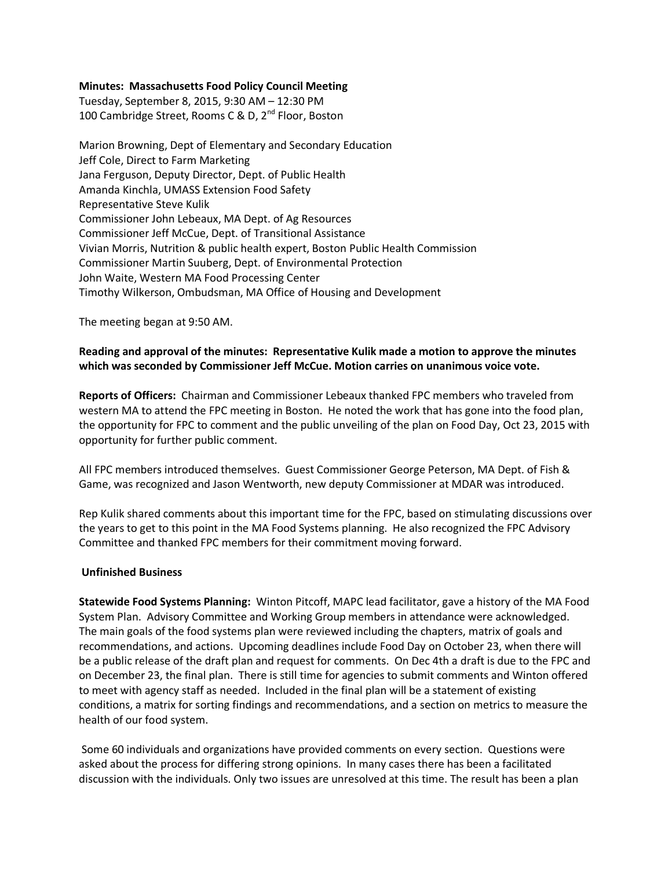# **Minutes: Massachusetts Food Policy Council Meeting**

Tuesday, September 8, 2015, 9:30 AM – 12:30 PM 100 Cambridge Street, Rooms C & D, 2<sup>nd</sup> Floor, Boston

Marion Browning, Dept of Elementary and Secondary Education Jeff Cole, Direct to Farm Marketing Jana Ferguson, Deputy Director, Dept. of Public Health Amanda Kinchla, UMASS Extension Food Safety Representative Steve Kulik Commissioner John Lebeaux, MA Dept. of Ag Resources Commissioner Jeff McCue, Dept. of Transitional Assistance Vivian Morris, Nutrition & public health expert, Boston Public Health Commission Commissioner Martin Suuberg, Dept. of Environmental Protection John Waite, Western MA Food Processing Center Timothy Wilkerson, Ombudsman, MA Office of Housing and Development

The meeting began at 9:50 AM.

# **Reading and approval of the minutes: Representative Kulik made a motion to approve the minutes which was seconded by Commissioner Jeff McCue. Motion carries on unanimous voice vote.**

**Reports of Officers:** Chairman and Commissioner Lebeaux thanked FPC members who traveled from western MA to attend the FPC meeting in Boston. He noted the work that has gone into the food plan, the opportunity for FPC to comment and the public unveiling of the plan on Food Day, Oct 23, 2015 with opportunity for further public comment.

All FPC members introduced themselves. Guest Commissioner George Peterson, MA Dept. of Fish & Game, was recognized and Jason Wentworth, new deputy Commissioner at MDAR was introduced.

Rep Kulik shared comments about this important time for the FPC, based on stimulating discussions over the years to get to this point in the MA Food Systems planning. He also recognized the FPC Advisory Committee and thanked FPC members for their commitment moving forward.

#### **Unfinished Business**

**Statewide Food Systems Planning:** Winton Pitcoff, MAPC lead facilitator, gave a history of the MA Food System Plan. Advisory Committee and Working Group members in attendance were acknowledged. The main goals of the food systems plan were reviewed including the chapters, matrix of goals and recommendations, and actions. Upcoming deadlines include Food Day on October 23, when there will be a public release of the draft plan and request for comments. On Dec 4th a draft is due to the FPC and on December 23, the final plan. There is still time for agencies to submit comments and Winton offered to meet with agency staff as needed. Included in the final plan will be a statement of existing conditions, a matrix for sorting findings and recommendations, and a section on metrics to measure the health of our food system.

Some 60 individuals and organizations have provided comments on every section. Questions were asked about the process for differing strong opinions. In many cases there has been a facilitated discussion with the individuals. Only two issues are unresolved at this time. The result has been a plan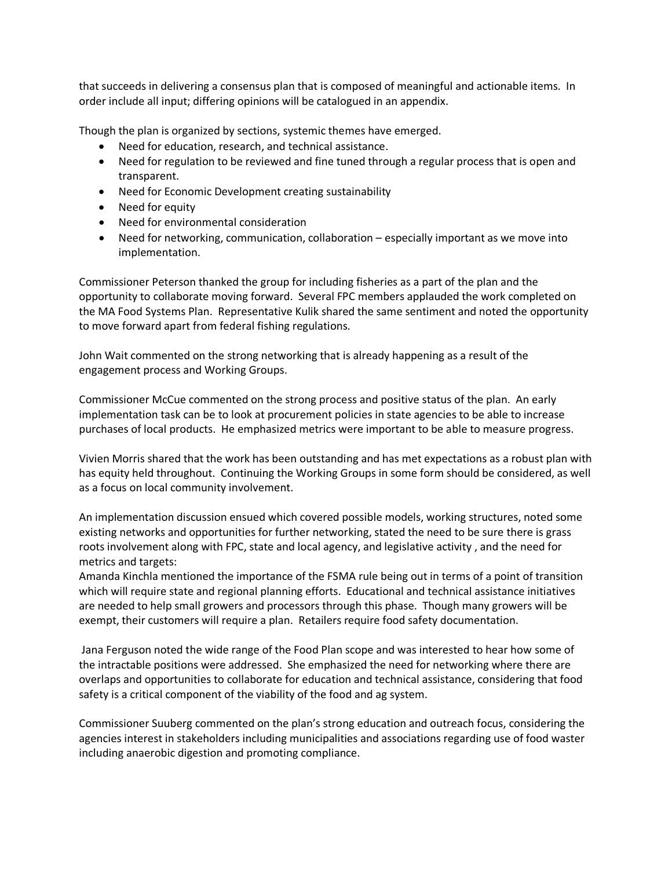that succeeds in delivering a consensus plan that is composed of meaningful and actionable items. In order include all input; differing opinions will be catalogued in an appendix.

Though the plan is organized by sections, systemic themes have emerged.

- Need for education, research, and technical assistance.
- Need for regulation to be reviewed and fine tuned through a regular process that is open and transparent.
- Need for Economic Development creating sustainability
- Need for equity
- Need for environmental consideration
- Need for networking, communication, collaboration especially important as we move into implementation.

Commissioner Peterson thanked the group for including fisheries as a part of the plan and the opportunity to collaborate moving forward. Several FPC members applauded the work completed on the MA Food Systems Plan. Representative Kulik shared the same sentiment and noted the opportunity to move forward apart from federal fishing regulations.

John Wait commented on the strong networking that is already happening as a result of the engagement process and Working Groups.

Commissioner McCue commented on the strong process and positive status of the plan. An early implementation task can be to look at procurement policies in state agencies to be able to increase purchases of local products. He emphasized metrics were important to be able to measure progress.

Vivien Morris shared that the work has been outstanding and has met expectations as a robust plan with has equity held throughout. Continuing the Working Groups in some form should be considered, as well as a focus on local community involvement.

An implementation discussion ensued which covered possible models, working structures, noted some existing networks and opportunities for further networking, stated the need to be sure there is grass roots involvement along with FPC, state and local agency, and legislative activity , and the need for metrics and targets:

Amanda Kinchla mentioned the importance of the FSMA rule being out in terms of a point of transition which will require state and regional planning efforts. Educational and technical assistance initiatives are needed to help small growers and processors through this phase. Though many growers will be exempt, their customers will require a plan. Retailers require food safety documentation.

Jana Ferguson noted the wide range of the Food Plan scope and was interested to hear how some of the intractable positions were addressed. She emphasized the need for networking where there are overlaps and opportunities to collaborate for education and technical assistance, considering that food safety is a critical component of the viability of the food and ag system.

Commissioner Suuberg commented on the plan's strong education and outreach focus, considering the agencies interest in stakeholders including municipalities and associations regarding use of food waster including anaerobic digestion and promoting compliance.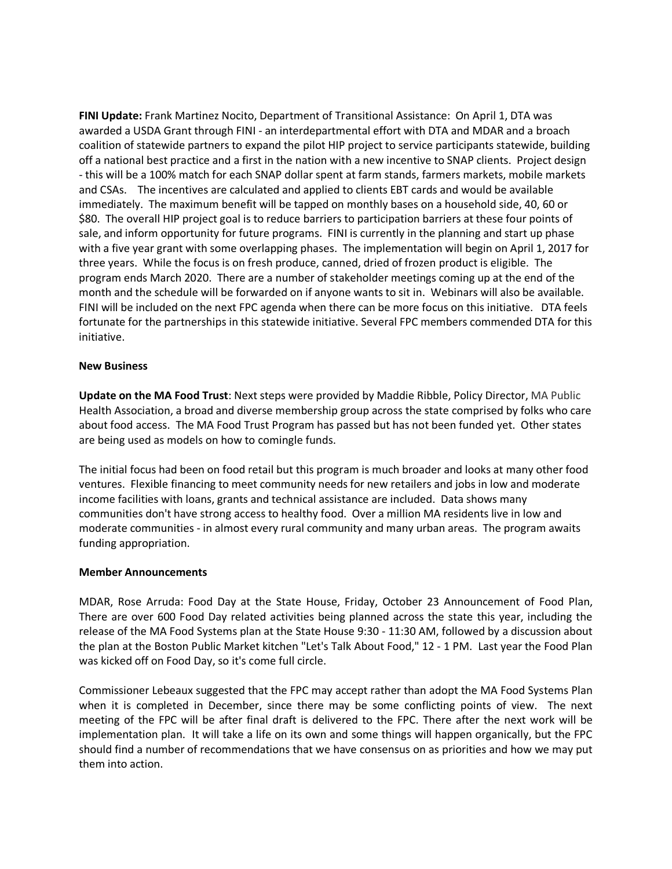**FINI Update:** Frank Martinez Nocito, Department of Transitional Assistance: On April 1, DTA was awarded a USDA Grant through FINI - an interdepartmental effort with DTA and MDAR and a broach coalition of statewide partners to expand the pilot HIP project to service participants statewide, building off a national best practice and a first in the nation with a new incentive to SNAP clients. Project design - this will be a 100% match for each SNAP dollar spent at farm stands, farmers markets, mobile markets and CSAs. The incentives are calculated and applied to clients EBT cards and would be available immediately. The maximum benefit will be tapped on monthly bases on a household side, 40, 60 or \$80. The overall HIP project goal is to reduce barriers to participation barriers at these four points of sale, and inform opportunity for future programs. FINI is currently in the planning and start up phase with a five year grant with some overlapping phases. The implementation will begin on April 1, 2017 for three years. While the focus is on fresh produce, canned, dried of frozen product is eligible. The program ends March 2020. There are a number of stakeholder meetings coming up at the end of the month and the schedule will be forwarded on if anyone wants to sit in. Webinars will also be available. FINI will be included on the next FPC agenda when there can be more focus on this initiative. DTA feels fortunate for the partnerships in this statewide initiative. Several FPC members commended DTA for this initiative.

### **New Business**

**Update on the MA Food Trust**: Next steps were provided by Maddie Ribble, Policy Director, MA Public Health Association, a broad and diverse membership group across the state comprised by folks who care about food access. The MA Food Trust Program has passed but has not been funded yet. Other states are being used as models on how to comingle funds.

The initial focus had been on food retail but this program is much broader and looks at many other food ventures. Flexible financing to meet community needs for new retailers and jobs in low and moderate income facilities with loans, grants and technical assistance are included. Data shows many communities don't have strong access to healthy food. Over a million MA residents live in low and moderate communities - in almost every rural community and many urban areas. The program awaits funding appropriation.

# **Member Announcements**

MDAR, Rose Arruda: Food Day at the State House, Friday, October 23 Announcement of Food Plan, There are over 600 Food Day related activities being planned across the state this year, including the release of the MA Food Systems plan at the State House 9:30 - 11:30 AM, followed by a discussion about the plan at the Boston Public Market kitchen "Let's Talk About Food," 12 - 1 PM. Last year the Food Plan was kicked off on Food Day, so it's come full circle.

Commissioner Lebeaux suggested that the FPC may accept rather than adopt the MA Food Systems Plan when it is completed in December, since there may be some conflicting points of view. The next meeting of the FPC will be after final draft is delivered to the FPC. There after the next work will be implementation plan. It will take a life on its own and some things will happen organically, but the FPC should find a number of recommendations that we have consensus on as priorities and how we may put them into action.